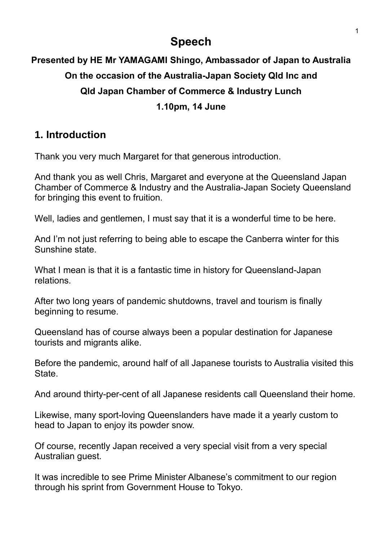# **Speech**

# **Presented by HE Mr YAMAGAMI Shingo, Ambassador of Japan to Australia On the occasion of the Australia-Japan Society Qld Inc and Qld Japan Chamber of Commerce & Industry Lunch 1.10pm, 14 June**

#### **1. Introduction**

Thank you very much Margaret for that generous introduction.

And thank you as well Chris, Margaret and everyone at the Queensland Japan Chamber of Commerce & Industry and the Australia-Japan Society Queensland for bringing this event to fruition.

Well, ladies and gentlemen, I must say that it is a wonderful time to be here.

And I'm not just referring to being able to escape the Canberra winter for this Sunshine state.

What I mean is that it is a fantastic time in history for Queensland-Japan relations.

After two long years of pandemic shutdowns, travel and tourism is finally beginning to resume.

Queensland has of course always been a popular destination for Japanese tourists and migrants alike.

Before the pandemic, around half of all Japanese tourists to Australia visited this **State** 

And around thirty-per-cent of all Japanese residents call Queensland their home.

Likewise, many sport-loving Queenslanders have made it a yearly custom to head to Japan to enjoy its powder snow.

Of course, recently Japan received a very special visit from a very special Australian guest.

It was incredible to see Prime Minister Albanese's commitment to our region through his sprint from Government House to Tokyo.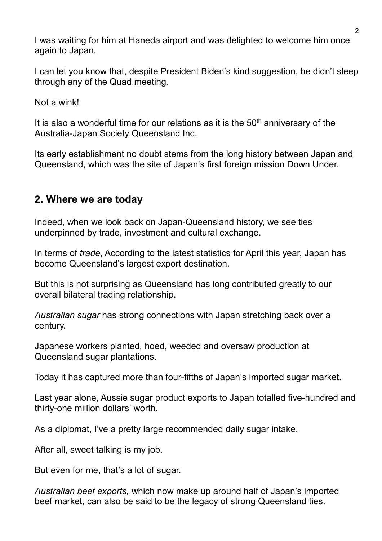I was waiting for him at Haneda airport and was delighted to welcome him once again to Japan.

I can let you know that, despite President Biden's kind suggestion, he didn't sleep through any of the Quad meeting.

Not a wink!

It is also a wonderful time for our relations as it is the  $50<sup>th</sup>$  anniversary of the Australia-Japan Society Queensland Inc.

Its early establishment no doubt stems from the long history between Japan and Queensland, which was the site of Japan's first foreign mission Down Under.

### **2. Where we are today**

Indeed, when we look back on Japan-Queensland history, we see ties underpinned by trade, investment and cultural exchange.

In terms of *trade*, According to the latest statistics for April this year, Japan has become Queensland's largest export destination.

But this is not surprising as Queensland has long contributed greatly to our overall bilateral trading relationship.

*Australian sugar* has strong connections with Japan stretching back over a century.

Japanese workers planted, hoed, weeded and oversaw production at Queensland sugar plantations.

Today it has captured more than four-fifths of Japan's imported sugar market.

Last year alone, Aussie sugar product exports to Japan totalled five-hundred and thirty-one million dollars' worth.

As a diplomat, I've a pretty large recommended daily sugar intake.

After all, sweet talking is my job.

But even for me, that's a lot of sugar.

*Australian beef exports,* which now make up around half of Japan's imported beef market, can also be said to be the legacy of strong Queensland ties.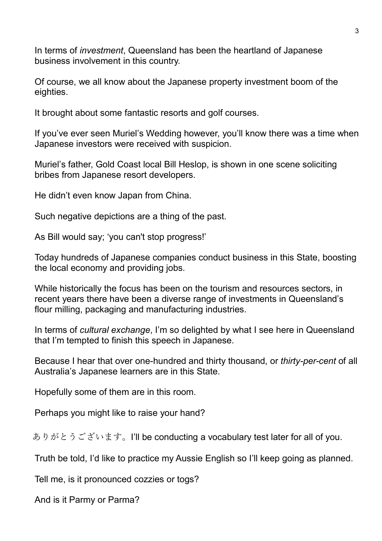In terms of *investment*, Queensland has been the heartland of Japanese business involvement in this country.

Of course, we all know about the Japanese property investment boom of the eighties.

It brought about some fantastic resorts and golf courses.

If you've ever seen Muriel's Wedding however, you'll know there was a time when Japanese investors were received with suspicion.

Muriel's father, Gold Coast local Bill Heslop, is shown in one scene soliciting bribes from Japanese resort developers.

He didn't even know Japan from China.

Such negative depictions are a thing of the past.

As Bill would say; 'you can't stop progress!'

Today hundreds of Japanese companies conduct business in this State, boosting the local economy and providing jobs.

While historically the focus has been on the tourism and resources sectors, in recent years there have been a diverse range of investments in Queensland's flour milling, packaging and manufacturing industries.

In terms of *cultural exchange*, I'm so delighted by what I see here in Queensland that I'm tempted to finish this speech in Japanese.

Because I hear that over one-hundred and thirty thousand, or *thirty-per-cent* of all Australia's Japanese learners are in this State.

Hopefully some of them are in this room.

Perhaps you might like to raise your hand?

ありがとうございます。I'll be conducting a vocabulary test later for all of you.

Truth be told, I'd like to practice my Aussie English so I'll keep going as planned.

Tell me, is it pronounced cozzies or togs?

And is it Parmy or Parma?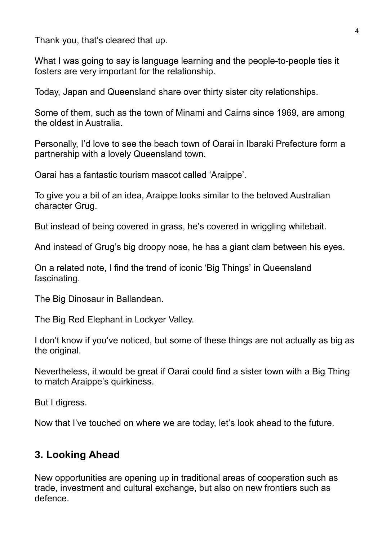Thank you, that's cleared that up.

What I was going to say is language learning and the people-to-people ties it fosters are very important for the relationship.

Today, Japan and Queensland share over thirty sister city relationships.

Some of them, such as the town of Minami and Cairns since 1969, are among the oldest in Australia.

Personally, I'd love to see the beach town of Oarai in Ibaraki Prefecture form a partnership with a lovely Queensland town.

Oarai has a fantastic tourism mascot called 'Araippe'.

To give you a bit of an idea, Araippe looks similar to the beloved Australian character Grug.

But instead of being covered in grass, he's covered in wriggling whitebait.

And instead of Grug's big droopy nose, he has a giant clam between his eyes.

On a related note, I find the trend of iconic 'Big Things' in Queensland fascinating.

The Big Dinosaur in Ballandean.

The Big Red Elephant in Lockyer Valley.

I don't know if you've noticed, but some of these things are not actually as big as the original.

Nevertheless, it would be great if Oarai could find a sister town with a Big Thing to match Araippe's quirkiness.

But I digress.

Now that I've touched on where we are today, let's look ahead to the future.

## **3. Looking Ahead**

New opportunities are opening up in traditional areas of cooperation such as trade, investment and cultural exchange, but also on new frontiers such as defence.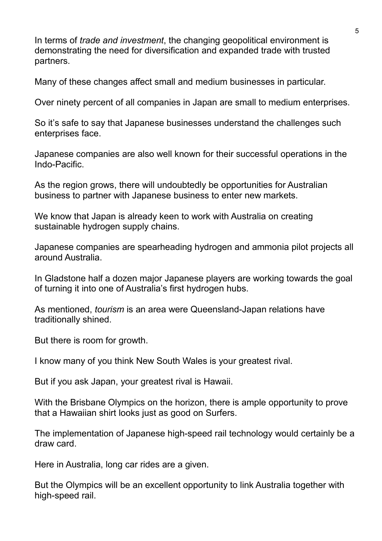In terms of *trade and investment*, the changing geopolitical environment is demonstrating the need for diversification and expanded trade with trusted partners.

Many of these changes affect small and medium businesses in particular.

Over ninety percent of all companies in Japan are small to medium enterprises.

So it's safe to say that Japanese businesses understand the challenges such enterprises face.

Japanese companies are also well known for their successful operations in the Indo-Pacific.

As the region grows, there will undoubtedly be opportunities for Australian business to partner with Japanese business to enter new markets.

We know that Japan is already keen to work with Australia on creating sustainable hydrogen supply chains.

Japanese companies are spearheading hydrogen and ammonia pilot projects all around Australia.

In Gladstone half a dozen major Japanese players are working towards the goal of turning it into one of Australia's first hydrogen hubs.

As mentioned, *tourism* is an area were Queensland-Japan relations have traditionally shined.

But there is room for growth.

I know many of you think New South Wales is your greatest rival.

But if you ask Japan, your greatest rival is Hawaii.

With the Brisbane Olympics on the horizon, there is ample opportunity to prove that a Hawaiian shirt looks just as good on Surfers.

The implementation of Japanese high-speed rail technology would certainly be a draw card.

Here in Australia, long car rides are a given.

But the Olympics will be an excellent opportunity to link Australia together with high-speed rail.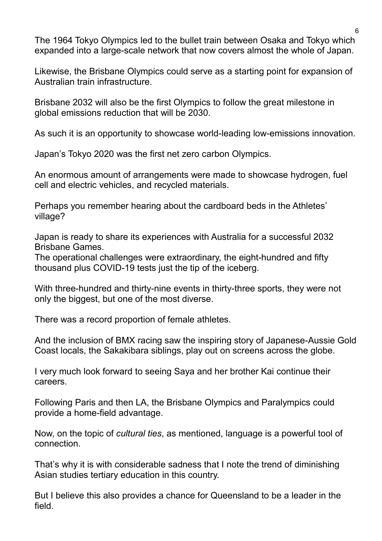The 1964 Tokyo Olympics led to the bullet train between Osaka and Tokyo which expanded into a large-scale network that now covers almost the whole of Japan.

Likewise, the Brisbane Olympics could serve as a starting point for expansion of Australian train infrastructure.

Brisbane 2032 will also be the first Olympics to follow the great milestone in global emissions reduction that will be 2030.

As such it is an opportunity to showcase world-leading low-emissions innovation.

Japan's Tokyo 2020 was the first net zero carbon Olympics.

An enormous amount of arrangements were made to showcase hydrogen, fuel cell and electric vehicles, and recycled materials.

Perhaps you remember hearing about the cardboard beds in the Athletes' village?

Japan is ready to share its experiences with Australia for a successful 2032 Brisbane Games.

The operational challenges were extraordinary, the eight-hundred and fifty thousand plus COVID-19 tests just the tip of the iceberg.

With three-hundred and thirty-nine events in thirty-three sports, they were not only the biggest, but one of the most diverse.

There was a record proportion of female athletes.

And the inclusion of BMX racing saw the inspiring story of Japanese-Aussie Gold Coast locals, the Sakakibara siblings, play out on screens across the globe.

I very much look forward to seeing Saya and her brother Kai continue their careers.

Following Paris and then LA, the Brisbane Olympics and Paralympics could provide a home-field advantage.

Now, on the topic of *cultural ties*, as mentioned, language is a powerful tool of connection.

That's why it is with considerable sadness that I note the trend of diminishing Asian studies tertiary education in this country.

But I believe this also provides a chance for Queensland to be a leader in the field.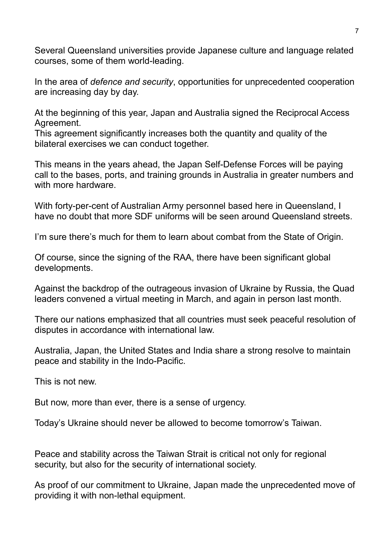Several Queensland universities provide Japanese culture and language related courses, some of them world-leading.

In the area of *defence and security*, opportunities for unprecedented cooperation are increasing day by day.

At the beginning of this year, Japan and Australia signed the Reciprocal Access Agreement.

This agreement significantly increases both the quantity and quality of the bilateral exercises we can conduct together.

This means in the years ahead, the Japan Self-Defense Forces will be paying call to the bases, ports, and training grounds in Australia in greater numbers and with more hardware.

With forty-per-cent of Australian Army personnel based here in Queensland, I have no doubt that more SDF uniforms will be seen around Queensland streets.

I'm sure there's much for them to learn about combat from the State of Origin.

Of course, since the signing of the RAA, there have been significant global developments.

Against the backdrop of the outrageous invasion of Ukraine by Russia, the Quad leaders convened a virtual meeting in March, and again in person last month.

There our nations emphasized that all countries must seek peaceful resolution of disputes in accordance with international law.

Australia, Japan, the United States and India share a strong resolve to maintain peace and stability in the Indo-Pacific.

This is not new.

But now, more than ever, there is a sense of urgency.

Today's Ukraine should never be allowed to become tomorrow's Taiwan.

Peace and stability across the Taiwan Strait is critical not only for regional security, but also for the security of international society.

As proof of our commitment to Ukraine, Japan made the unprecedented move of providing it with non-lethal equipment.